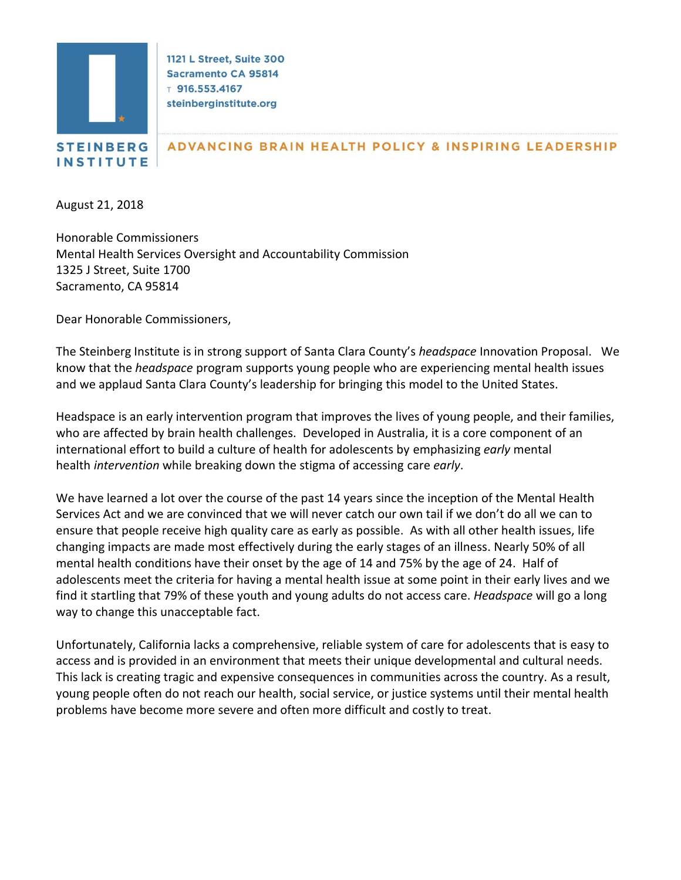

1121 L Street, Suite 300 **Sacramento CA 95814**  $T$  916.553.4167 steinberginstitute.org

## ADVANCING BRAIN HEALTH POLICY & INSPIRING LEADERSHIP

August 21, 2018

**INSTITUTE** 

Honorable Commissioners Mental Health Services Oversight and Accountability Commission 1325 J Street, Suite 1700 Sacramento, CA 95814

Dear Honorable Commissioners,

The Steinberg Institute is in strong support of Santa Clara County's *headspace* Innovation Proposal. We know that the *headspace* program supports young people who are experiencing mental health issues and we applaud Santa Clara County's leadership for bringing this model to the United States.

Headspace is an early intervention program that improves the lives of young people, and their families, who are affected by brain health challenges. Developed in Australia, it is a core component of an international effort to build a culture of health for adolescents by emphasizing *early* mental health *intervention* while breaking down the stigma of accessing care *early*.

We have learned a lot over the course of the past 14 years since the inception of the Mental Health Services Act and we are convinced that we will never catch our own tail if we don't do all we can to ensure that people receive high quality care as early as possible. As with all other health issues, life changing impacts are made most effectively during the early stages of an illness. Nearly 50% of all mental health conditions have their onset by the age of 14 and 75% by the age of 24. Half of adolescents meet the criteria for having a mental health issue at some point in their early lives and we find it startling that 79% of these youth and young adults do not access care. *Headspace* will go a long way to change this unacceptable fact.

Unfortunately, California lacks a comprehensive, reliable system of care for adolescents that is easy to access and is provided in an environment that meets their unique developmental and cultural needs. This lack is creating tragic and expensive consequences in communities across the country. As a result, young people often do not reach our health, social service, or justice systems until their mental health problems have become more severe and often more difficult and costly to treat.